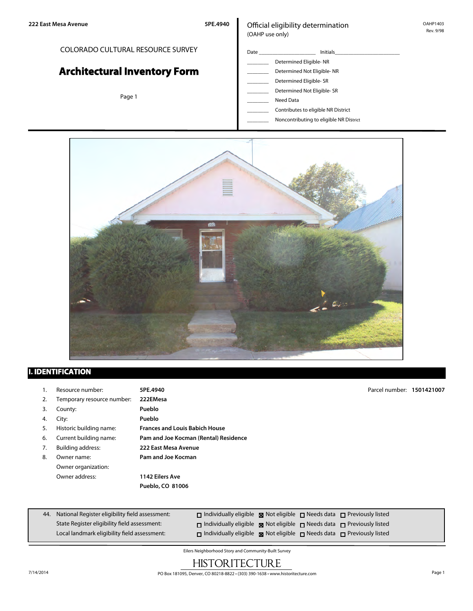COLORADO CULTURAL RESOURCE SURVEY

**Architectural Inventory Form**

Page 1

### Official eligibility determination (OAHP use only)

## Date \_\_\_\_\_\_\_\_\_\_\_\_\_\_\_\_\_\_\_\_\_ Initials\_\_\_\_\_\_\_\_\_\_\_\_\_\_\_\_\_\_\_\_\_\_\_\_ \_\_\_\_\_\_\_\_ Determined Eligible- NR Determined Not Eligible- NR Determined Eligible- SR Determined Not Eligible- SR Need Data

\_\_\_\_\_\_\_\_ Contributes to eligible NR District

\_\_\_\_\_\_\_\_ Noncontributing to eligible NR District



## **I. IDENTIFICATION**

|    | Resource number:           | 5PE.4940                              | Parcel number: 1501421007 |  |
|----|----------------------------|---------------------------------------|---------------------------|--|
| 2. | Temporary resource number: | 222EMesa                              |                           |  |
| 3. | County:                    | Pueblo                                |                           |  |
| 4. | City:                      | Pueblo                                |                           |  |
| 5. | Historic building name:    | <b>Frances and Louis Babich House</b> |                           |  |
| 6. | Current building name:     | Pam and Joe Kocman (Rental) Residence |                           |  |
| 7. | <b>Building address:</b>   | 222 East Mesa Avenue                  |                           |  |
| 8. | Owner name:                | Pam and Joe Kocman                    |                           |  |
|    | Owner organization:        |                                       |                           |  |
|    | Owner address:             | 1142 Eilers Ave                       |                           |  |
|    |                            | Pueblo, CO 81006                      |                           |  |
|    |                            |                                       |                           |  |
|    |                            | .<br>.                                |                           |  |

| 44. National Register eligibility field assessment: | $\Box$ Individually eligible $\Box$ Not eligible $\Box$ Needs data $\Box$ Previously listed      |  |  |
|-----------------------------------------------------|--------------------------------------------------------------------------------------------------|--|--|
| State Register eligibility field assessment:        | $\Box$ Individually eligible $\boxtimes$ Not eligible $\Box$ Needs data $\Box$ Previously listed |  |  |
| Local landmark eligibility field assessment:        | $\Box$ Individually eligible $\boxtimes$ Not eligible $\Box$ Needs data $\Box$ Previously listed |  |  |

Eilers Neighborhood Story and Community-Built Survey

# **HISTORITECTURE**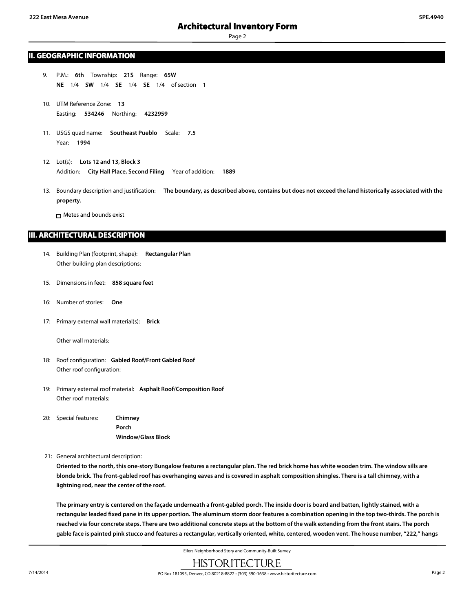### **II. GEOGRAPHIC INFORMATION**

- 9. P.M.: **6th** Township: **21S** Range: **65W NE** 1/4 **SW** 1/4 **SE** 1/4 **SE** 1/4 of section **1**
- 10. UTM Reference Zone: **13** Easting: **534246** Northing: **4232959**
- 11. USGS quad name: **Southeast Pueblo** Scale: **7.5** Year: **1994**
- 12. Lot(s): **Lots 12 and 13, Block 3** Addition: **City Hall Place, Second Filing** Year of addition: **1889**
- 13. Boundary description and justification: **The boundary, as described above, contains but does not exceed the land historically associated with the property.**

□ Metes and bounds exist

### **III. ARCHITECTURAL DESCRIPTION**

- 14. Building Plan (footprint, shape): **Rectangular Plan** Other building plan descriptions:
- 15. Dimensions in feet: **858 square feet**
- 16: Number of stories: **One**
- 17: Primary external wall material(s): **Brick**

Other wall materials:

- 18: Roof configuration: **Gabled Roof/Front Gabled Roof** Other roof configuration:
- 19: Primary external roof material: **Asphalt Roof/Composition Roof** Other roof materials:
- 20: Special features: **Chimney Porch Window/Glass Block**
- 21: General architectural description:

**Oriented to the north, this one-story Bungalow features a rectangular plan. The red brick home has white wooden trim. The window sills are blonde brick. The front-gabled roof has overhanging eaves and is covered in asphalt composition shingles. There is a tall chimney, with a lightning rod, near the center of the roof.**

**The primary entry is centered on the façade underneath a front-gabled porch. The inside door is board and batten, lightly stained, with a rectangular leaded fixed pane in its upper portion. The aluminum storm door features a combination opening in the top two-thirds. The porch is reached via four concrete steps. There are two additional concrete steps at the bottom of the walk extending from the front stairs. The porch gable face is painted pink stucco and features a rectangular, vertically oriented, white, centered, wooden vent. The house number, "222," hangs**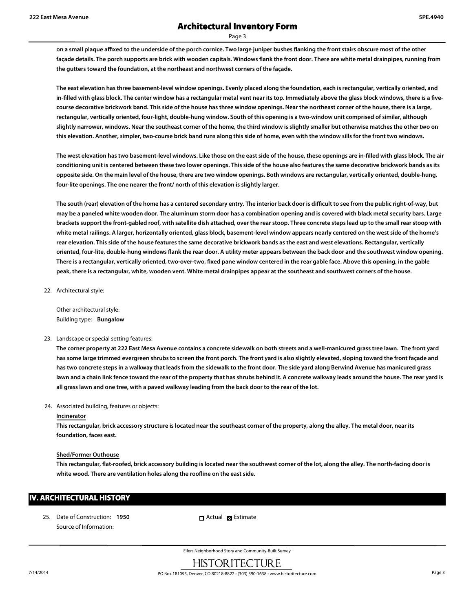**on a small plaque affixed to the underside of the porch cornice. Two large juniper bushes flanking the front stairs obscure most of the other façade details. The porch supports are brick with wooden capitals. Windows flank the front door. There are white metal drainpipes, running from the gutters toward the foundation, at the northeast and northwest corners of the façade.**

**The east elevation has three basement-level window openings. Evenly placed along the foundation, each is rectangular, vertically oriented, and** in-filled with glass block. The center window has a rectangular metal vent near its top. Immediately above the glass block windows, there is a five**course decorative brickwork band. This side of the house has three window openings. Near the northeast corner of the house, there is a large, rectangular, vertically oriented, four-light, double-hung window. South of this opening is a two-window unit comprised of similar, although slightly narrower, windows. Near the southeast corner of the home, the third window is slightly smaller but otherwise matches the other two on this elevation. Another, simpler, two-course brick band runs along this side of home, even with the window sills for the front two windows.**

**The west elevation has two basement-level windows. Like those on the east side of the house, these openings are in-filled with glass block. The air conditioning unit is centered between these two lower openings. This side of the house also features the same decorative brickwork bands as its opposite side. On the main level of the house, there are two window openings. Both windows are rectangular, vertically oriented, double-hung, four-lite openings. The one nearer the front/ north of this elevation is slightly larger.**

**The south (rear) elevation of the home has a centered secondary entry. The interior back door is difficult to see from the public right-of-way, but may be a paneled white wooden door. The aluminum storm door has a combination opening and is covered with black metal security bars. Large brackets support the front-gabled roof, with satellite dish attached, over the rear stoop. Three concrete steps lead up to the small rear stoop with white metal railings. A larger, horizontally oriented, glass block, basement-level window appears nearly centered on the west side of the home's rear elevation. This side of the house features the same decorative brickwork bands as the east and west elevations. Rectangular, vertically oriented, four-lite, double-hung windows flank the rear door. A utility meter appears between the back door and the southwest window opening. There is a rectangular, vertically oriented, two-over-two, fixed pane window centered in the rear gable face. Above this opening, in the gable peak, there is a rectangular, white, wooden vent. White metal drainpipes appear at the southeast and southwest corners of the house.**

22. Architectural style:

Other architectural style: Building type: **Bungalow**

#### 23. Landscape or special setting features:

**The corner property at 222 East Mesa Avenue contains a concrete sidewalk on both streets and a well-manicured grass tree lawn. The front yard has some large trimmed evergreen shrubs to screen the front porch. The front yard is also slightly elevated, sloping toward the front façade and has two concrete steps in a walkway that leads from the sidewalk to the front door. The side yard along Berwind Avenue has manicured grass lawn and a chain link fence toward the rear of the property that has shrubs behind it. A concrete walkway leads around the house. The rear yard is all grass lawn and one tree, with a paved walkway leading from the back door to the rear of the lot.**

#### 24. Associated building, features or objects:

#### **Incinerator**

**This rectangular, brick accessory structure is located near the southeast corner of the property, along the alley. The metal door, near its foundation, faces east.**

#### **Shed/Former Outhouse**

**This rectangular, flat-roofed, brick accessory building is located near the southwest corner of the lot, along the alley. The north-facing door is white wood. There are ventilation holes along the roofline on the east side.**

### **IV. ARCHITECTURAL HISTORY**

25. Date of Construction: **1950** Source of Information:

Actual **x** Estimate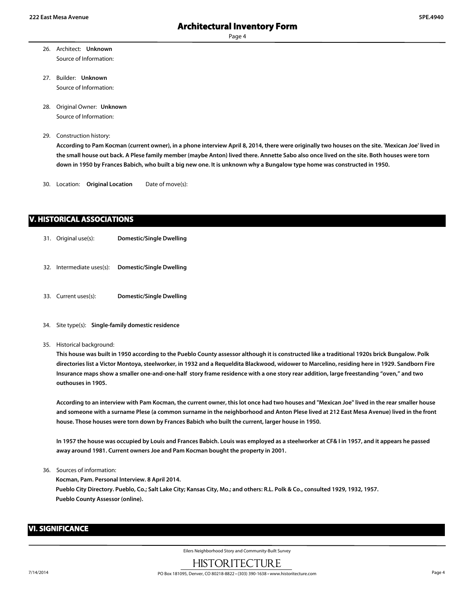- 26. Architect: **Unknown** Source of Information:
- 27. Builder: **Unknown** Source of Information:
- 28. Original Owner: **Unknown** Source of Information:
- 29. Construction history:

**According to Pam Kocman (current owner), in a phone interview April 8, 2014, there were originally two houses on the site. 'Mexican Joe' lived in the small house out back. A Plese family member (maybe Anton) lived there. Annette Sabo also once lived on the site. Both houses were torn down in 1950 by Frances Babich, who built a big new one. It is unknown why a Bungalow type home was constructed in 1950.**

30. Location: **Original Location** Date of move(s):

## **V. HISTORICAL ASSOCIATIONS**

- 31. Original use(s): **Domestic/Single Dwelling**
- 32. Intermediate uses(s): **Domestic/Single Dwelling**
- 33. Current uses(s): **Domestic/Single Dwelling**
- 34. Site type(s): **Single-family domestic residence**
- 35. Historical background:

**This house was built in 1950 according to the Pueblo County assessor although it is constructed like a traditional 1920s brick Bungalow. Polk directories list a Victor Montoya, steelworker, in 1932 and a Requeldita Blackwood, widower to Marcelino, residing here in 1929. Sandborn Fire Insurance maps show a smaller one-and-one-half story frame residence with a one story rear addition, large freestanding "oven," and two outhouses in 1905.**

**According to an interview with Pam Kocman, the current owner, this lot once had two houses and "Mexican Joe" lived in the rear smaller house and someone with a surname Plese (a common surname in the neighborhood and Anton Plese lived at 212 East Mesa Avenue) lived in the front house. Those houses were torn down by Frances Babich who built the current, larger house in 1950.**

**In 1957 the house was occupied by Louis and Frances Babich. Louis was employed as a steelworker at CF& I in 1957, and it appears he passed away around 1981. Current owners Joe and Pam Kocman bought the property in 2001.**

36. Sources of information:

**Kocman, Pam. Personal Interview. 8 April 2014. Pueblo City Directory. Pueblo, Co.; Salt Lake City; Kansas City, Mo.; and others: R.L. Polk & Co., consulted 1929, 1932, 1957. Pueblo County Assessor (online).**

### **VI. SIGNIFICANCE**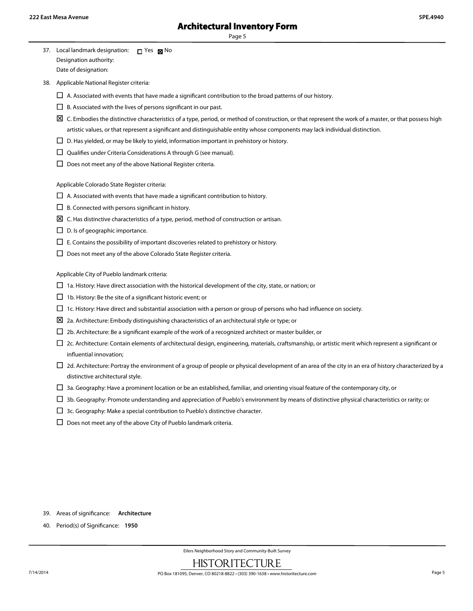| 37. Local landmark designation: | רח Yes <b>דא</b> No |  |
|---------------------------------|---------------------|--|
| Designation authority:          |                     |  |
| Date of designation:            |                     |  |

38. Applicable National Register criteria:

- $\Box$  A. Associated with events that have made a significant contribution to the broad patterns of our history.
- $\square$  B. Associated with the lives of persons significant in our past.
- $\boxtimes$  C. Embodies the distinctive characteristics of a type, period, or method of construction, or that represent the work of a master, or that possess high artistic values, or that represent a significant and distinguishable entity whose components may lack individual distinction.
- $\square$  D. Has yielded, or may be likely to yield, information important in prehistory or history.
- $\square$  Qualifies under Criteria Considerations A through G (see manual).
- $\square$  Does not meet any of the above National Register criteria.

Applicable Colorado State Register criteria:

- $\Box$  A. Associated with events that have made a significant contribution to history.
- $\Box$  B. Connected with persons significant in history.
- $\boxtimes$  C. Has distinctive characteristics of a type, period, method of construction or artisan.
- $\square$  D. Is of geographic importance.
- $\square$  E. Contains the possibility of important discoveries related to prehistory or history.
- $\square$  Does not meet any of the above Colorado State Register criteria.

Applicable City of Pueblo landmark criteria:

- $\square$  1a. History: Have direct association with the historical development of the city, state, or nation; or
- $\Box$  1b. History: Be the site of a significant historic event; or
- $\Box$  1c. History: Have direct and substantial association with a person or group of persons who had influence on society.
- $\Sigma$  2a. Architecture: Embody distinguishing characteristics of an architectural style or type; or
- $\square$  2b. Architecture: Be a significant example of the work of a recognized architect or master builder, or
- £ 2c. Architecture: Contain elements of architectural design, engineering, materials, craftsmanship, or artistic merit which represent a significant or influential innovation;
- $\Box$  2d. Architecture: Portray the environment of a group of people or physical development of an area of the city in an era of history characterized by a distinctive architectural style.
- $\Box$  3a. Geography: Have a prominent location or be an established, familiar, and orienting visual feature of the contemporary city, or
- $\Box$  3b. Geography: Promote understanding and appreciation of Pueblo's environment by means of distinctive physical characteristics or rarity; or
- $\square$  3c. Geography: Make a special contribution to Pueblo's distinctive character.
- $\square$  Does not meet any of the above City of Pueblo landmark criteria.

- 39. Areas of significance: **Architecture**
- 40. Period(s) of Significance: **1950**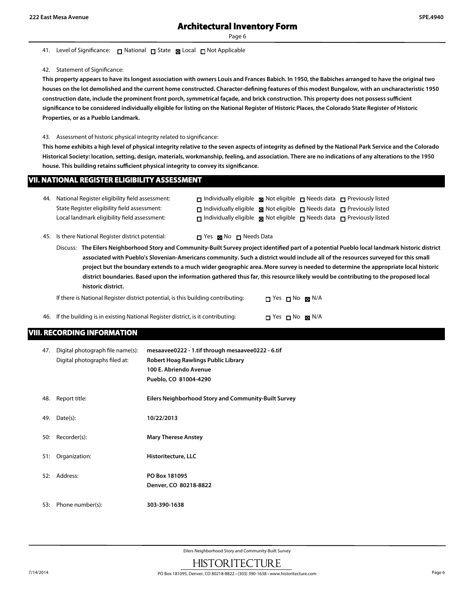#### 41. Level of Significance: □ National □ State ■ Local □ Not Applicable

#### 42. Statement of Significance:

**This property appears to have its longest association with owners Louis and Frances Babich. In 1950, the Babiches arranged to have the original two houses on the lot demolished and the current home constructed. Character-defining features of this modest Bungalow, with an uncharacteristic 1950 construction date, include the prominent front porch, symmetrical façade, and brick construction. This property does not possess sufficient significance to be considered individually eligible for listing on the National Register of Historic Places, the Colorado State Register of Historic Properties, or as a Pueblo Landmark.**

#### 43. Assessment of historic physical integrity related to significance:

**This home exhibits a high level of physical integrity relative to the seven aspects of integrity as defined by the National Park Service and the Colorado Historical Society: location, setting, design, materials, workmanship, feeling, and association. There are no indications of any alterations to the 1950 house. This building retains sufficient physical integrity to convey its significance.**

### **VII. NATIONAL REGISTER ELIGIBILITY ASSESSMENT**

| 44. National Register eligibility field assessment: | $\Box$ Individually eligible $\boxtimes$ Not eligible $\Box$ Needs data $\Box$ Previously listed |  |  |
|-----------------------------------------------------|--------------------------------------------------------------------------------------------------|--|--|
| State Register eligibility field assessment:        | $\Box$ Individually eligible $\Box$ Not eligible $\Box$ Needs data $\Box$ Previously listed      |  |  |
| Local landmark eligibility field assessment:        | $\Box$ Individually eligible $\boxtimes$ Not eligible $\Box$ Needs data $\Box$ Previously listed |  |  |

45. Is there National Register district potential:  $\Box$  Yes  $\boxtimes$  No  $\Box$  Needs Data

Discuss: **The Eilers Neighborhood Story and Community-Built Survey project identified part of a potential Pueblo local landmark historic district associated with Pueblo's Slovenian-Americans community. Such a district would include all of the resources surveyed for this small project but the boundary extends to a much wider geographic area. More survey is needed to determine the appropriate local historic district boundaries. Based upon the information gathered thus far, this resource likely would be contributing to the proposed local historic district.**

| If there is National Register district potential, is this building contributing:   | $\Box$ Yes $\Box$ No $\boxtimes$ N/A |  |
|------------------------------------------------------------------------------------|--------------------------------------|--|
| 46. If the building is in existing National Register district, is it contributing: | $\Box$ Yes $\Box$ No $\boxtimes$ N/A |  |

### **VIII. RECORDING INFORMATION**

| 47. | Digital photograph file name(s):<br>Digital photographs filed at: | mesaavee0222 - 1.tif through mesaavee0222 - 6.tif<br>Robert Hoag Rawlings Public Library<br>100 E. Abriendo Avenue<br>Pueblo, CO 81004-4290 |
|-----|-------------------------------------------------------------------|---------------------------------------------------------------------------------------------------------------------------------------------|
| 48. | Report title:                                                     | Eilers Neighborhood Story and Community-Built Survey                                                                                        |
| 49. | Date(s):                                                          | 10/22/2013                                                                                                                                  |
| 50: | Recorder(s):                                                      | <b>Mary Therese Anstey</b>                                                                                                                  |
| 51: | Organization:                                                     | Historitecture, LLC                                                                                                                         |
| 52: | Address:                                                          | PO Box 181095<br>Denver, CO 80218-8822                                                                                                      |
| 53: | Phone number(s):                                                  | 303-390-1638                                                                                                                                |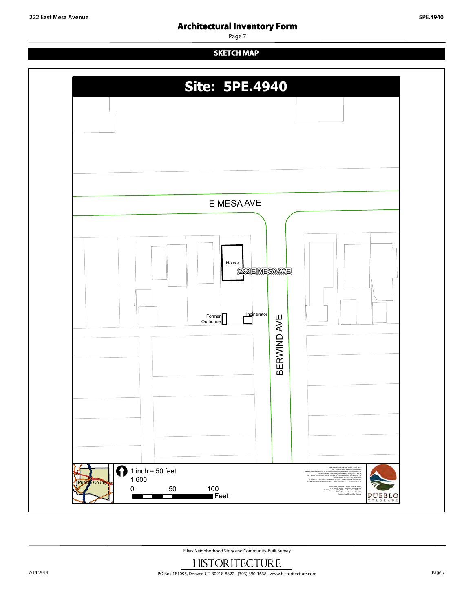## **Architectural Inventory Form**

Page 7

## **SKETCH MAP**